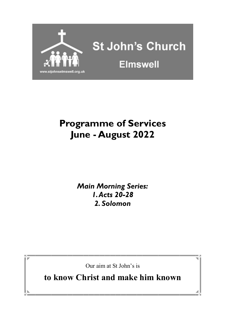

## **Programme of Services June - August 2022**

*Main Morning Series: 1. Acts 20-28 2. Solomon*

Our aim at St John's is

**to know Christ and make him known**